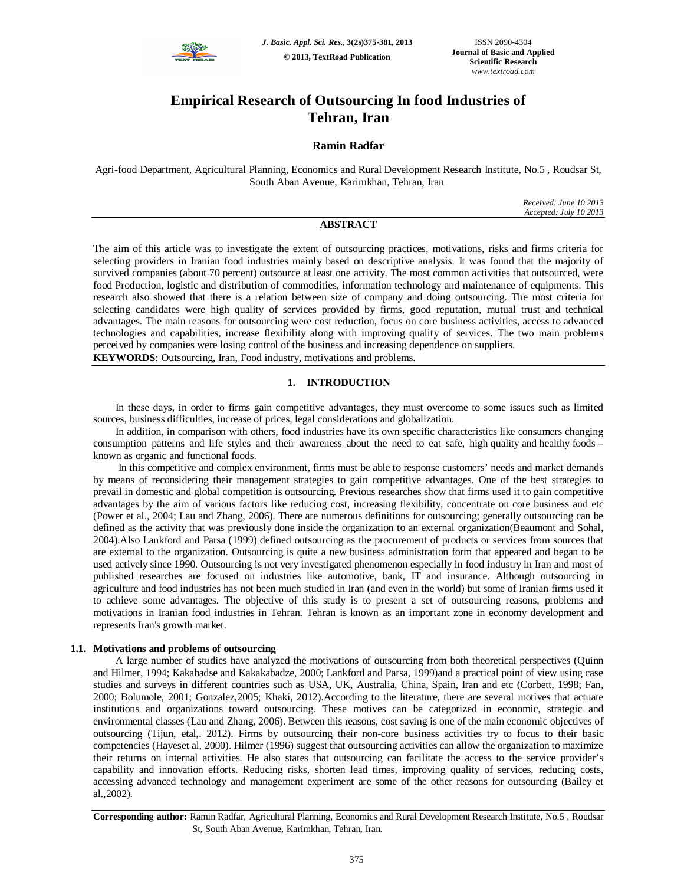

# **Empirical Research of Outsourcing In food Industries of Tehran, Iran**

# **Ramin Radfar**

Agri-food Department, Agricultural Planning, Economics and Rural Development Research Institute, No.5 , Roudsar St, South Aban Avenue, Karimkhan, Tehran, Iran

> *Received: June 10 2013 Accepted: July 10 2013*

# **ABSTRACT**

The aim of this article was to investigate the extent of outsourcing practices, motivations, risks and firms criteria for selecting providers in Iranian food industries mainly based on descriptive analysis. It was found that the majority of survived companies (about 70 percent) outsource at least one activity. The most common activities that outsourced, were food Production, logistic and distribution of commodities, information technology and maintenance of equipments. This research also showed that there is a relation between size of company and doing outsourcing. The most criteria for selecting candidates were high quality of services provided by firms, good reputation, mutual trust and technical advantages. The main reasons for outsourcing were cost reduction, focus on core business activities, access to advanced technologies and capabilities, increase flexibility along with improving quality of services. The two main problems perceived by companies were losing control of the business and increasing dependence on suppliers.

**KEYWORDS**: Outsourcing, Iran, Food industry, motivations and problems.

#### **1. INTRODUCTION**

In these days, in order to firms gain competitive advantages, they must overcome to some issues such as limited sources, business difficulties, increase of prices, legal considerations and globalization.

In addition, in comparison with others, food industries have its own specific characteristics like consumers changing consumption patterns and life styles and their awareness about the need to eat safe, high quality and healthy foods – known as organic and functional foods.

In this competitive and complex environment, firms must be able to response customers' needs and market demands by means of reconsidering their management strategies to gain competitive advantages. One of the best strategies to prevail in domestic and global competition is outsourcing. Previous researches show that firms used it to gain competitive advantages by the aim of various factors like reducing cost, increasing flexibility, concentrate on core business and etc (Power et al., 2004; Lau and Zhang, 2006). There are numerous definitions for outsourcing; generally outsourcing can be defined as the activity that was previously done inside the organization to an external organization(Beaumont and Sohal, 2004).Also Lankford and Parsa (1999) defined outsourcing as the procurement of products or services from sources that are external to the organization. Outsourcing is quite a new business administration form that appeared and began to be used actively since 1990. Outsourcing is not very investigated phenomenon especially in food industry in Iran and most of published researches are focused on industries like automotive, bank, IT and insurance. Although outsourcing in agriculture and food industries has not been much studied in Iran (and even in the world) but some of Iranian firms used it to achieve some advantages. The objective of this study is to present a set of outsourcing reasons, problems and motivations in Iranian food industries in Tehran. Tehran is known as an important zone in economy development and represents Iran's growth market.

#### **1.1. Motivations and problems of outsourcing**

A large number of studies have analyzed the motivations of outsourcing from both theoretical perspectives (Quinn and Hilmer, 1994; Kakabadse and Kakakabadze, 2000; Lankford and Parsa, 1999)and a practical point of view using case studies and surveys in different countries such as USA, UK, Australia, China, Spain, Iran and etc (Corbett, 1998; Fan, 2000; Bolumole, 2001; Gonzalez,2005; Khaki, 2012).According to the literature, there are several motives that actuate institutions and organizations toward outsourcing. These motives can be categorized in economic, strategic and environmental classes (Lau and Zhang, 2006). Between this reasons, cost saving is one of the main economic objectives of outsourcing (Tijun, etal,. 2012). Firms by outsourcing their non-core business activities try to focus to their basic competencies (Hayeset al, 2000). Hilmer (1996) suggest that outsourcing activities can allow the organization to maximize their returns on internal activities. He also states that outsourcing can facilitate the access to the service provider's capability and innovation efforts. Reducing risks, shorten lead times, improving quality of services, reducing costs, accessing advanced technology and management experiment are some of the other reasons for outsourcing (Bailey et al.,2002).

**Corresponding author:** Ramin Radfar, Agricultural Planning, Economics and Rural Development Research Institute, No.5 , Roudsar St, South Aban Avenue, Karimkhan, Tehran, Iran.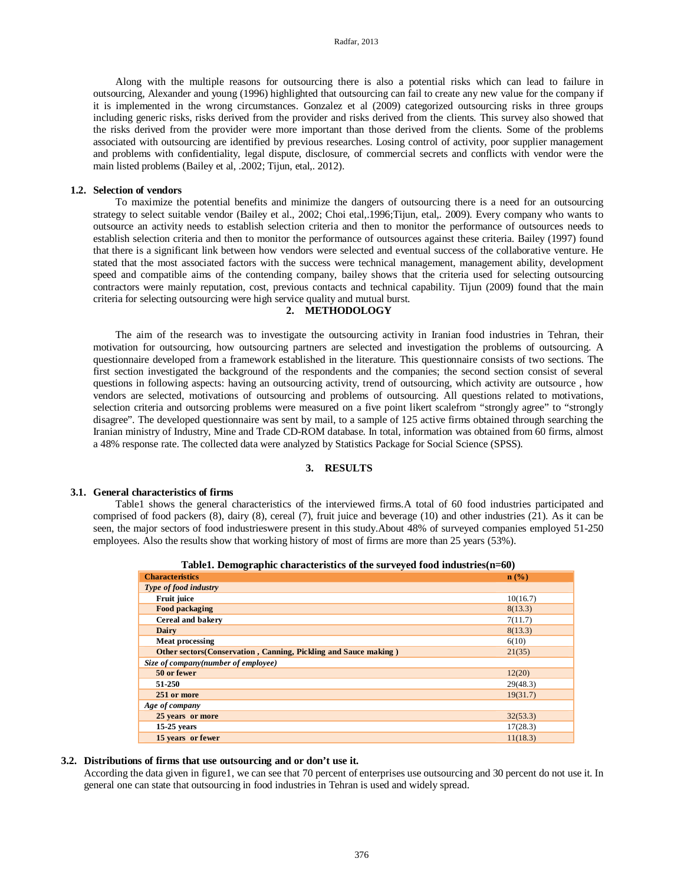Radfar, 2013

Along with the multiple reasons for outsourcing there is also a potential risks which can lead to failure in outsourcing, Alexander and young (1996) highlighted that outsourcing can fail to create any new value for the company if it is implemented in the wrong circumstances. Gonzalez et al (2009) categorized outsourcing risks in three groups including generic risks, risks derived from the provider and risks derived from the clients. This survey also showed that the risks derived from the provider were more important than those derived from the clients. Some of the problems associated with outsourcing are identified by previous researches. Losing control of activity, poor supplier management and problems with confidentiality, legal dispute, disclosure, of commercial secrets and conflicts with vendor were the main listed problems (Bailey et al, .2002; Tijun, etal,. 2012).

#### **1.2. Selection of vendors**

To maximize the potential benefits and minimize the dangers of outsourcing there is a need for an outsourcing strategy to select suitable vendor (Bailey et al., 2002; Choi etal,.1996;Tijun, etal,. 2009). Every company who wants to outsource an activity needs to establish selection criteria and then to monitor the performance of outsources needs to establish selection criteria and then to monitor the performance of outsources against these criteria. Bailey (1997) found that there is a significant link between how vendors were selected and eventual success of the collaborative venture. He stated that the most associated factors with the success were technical management, management ability, development speed and compatible aims of the contending company, bailey shows that the criteria used for selecting outsourcing contractors were mainly reputation, cost, previous contacts and technical capability. Tijun (2009) found that the main criteria for selecting outsourcing were high service quality and mutual burst.

# **2. METHODOLOGY**

The aim of the research was to investigate the outsourcing activity in Iranian food industries in Tehran, their motivation for outsourcing, how outsourcing partners are selected and investigation the problems of outsourcing. A questionnaire developed from a framework established in the literature. This questionnaire consists of two sections. The first section investigated the background of the respondents and the companies; the second section consist of several questions in following aspects: having an outsourcing activity, trend of outsourcing, which activity are outsource , how vendors are selected, motivations of outsourcing and problems of outsourcing. All questions related to motivations, selection criteria and outsorcing problems were measured on a five point likert scalefrom "strongly agree" to "strongly disagree". The developed questionnaire was sent by mail, to a sample of 125 active firms obtained through searching the Iranian ministry of Industry, Mine and Trade CD-ROM database. In total, information was obtained from 60 firms, almost a 48% response rate. The collected data were analyzed by Statistics Package for Social Science (SPSS).

### **3. RESULTS**

#### **3.1. General characteristics of firms**

Table1 shows the general characteristics of the interviewed firms.A total of 60 food industries participated and comprised of food packers (8), dairy (8), cereal (7), fruit juice and beverage (10) and other industries (21). As it can be seen, the major sectors of food industrieswere present in this study.About 48% of surveyed companies employed 51-250 employees. Also the results show that working history of most of firms are more than 25 years (53%).

| <b>Characteristics</b>                                                  | $\mathbf{n}(\%)$ |  |  |  |  |  |  |
|-------------------------------------------------------------------------|------------------|--|--|--|--|--|--|
| Type of food industry                                                   |                  |  |  |  |  |  |  |
| Fruit juice                                                             | 10(16.7)         |  |  |  |  |  |  |
| <b>Food packaging</b>                                                   | 8(13.3)          |  |  |  |  |  |  |
| Cereal and bakery                                                       | 7(11.7)          |  |  |  |  |  |  |
| Dairy                                                                   | 8(13.3)          |  |  |  |  |  |  |
| <b>Meat processing</b>                                                  | 6(10)            |  |  |  |  |  |  |
| <b>Other sectors (Conservation, Canning, Pickling and Sauce making)</b> | 21(35)           |  |  |  |  |  |  |
| Size of company(number of employee)                                     |                  |  |  |  |  |  |  |
| 50 or fewer                                                             | 12(20)           |  |  |  |  |  |  |
| 51-250                                                                  | 29(48.3)         |  |  |  |  |  |  |
| 251 or more                                                             | 19(31.7)         |  |  |  |  |  |  |
| Age of company                                                          |                  |  |  |  |  |  |  |
| 25 years or more                                                        | 32(53.3)         |  |  |  |  |  |  |
| $15-25$ years                                                           | 17(28.3)         |  |  |  |  |  |  |
| 15 years or fewer                                                       | 11(18.3)         |  |  |  |  |  |  |

#### **3.2. Distributions of firms that use outsourcing and or don't use it.**

According the data given in figure1, we can see that 70 percent of enterprises use outsourcing and 30 percent do not use it. In general one can state that outsourcing in food industries in Tehran is used and widely spread.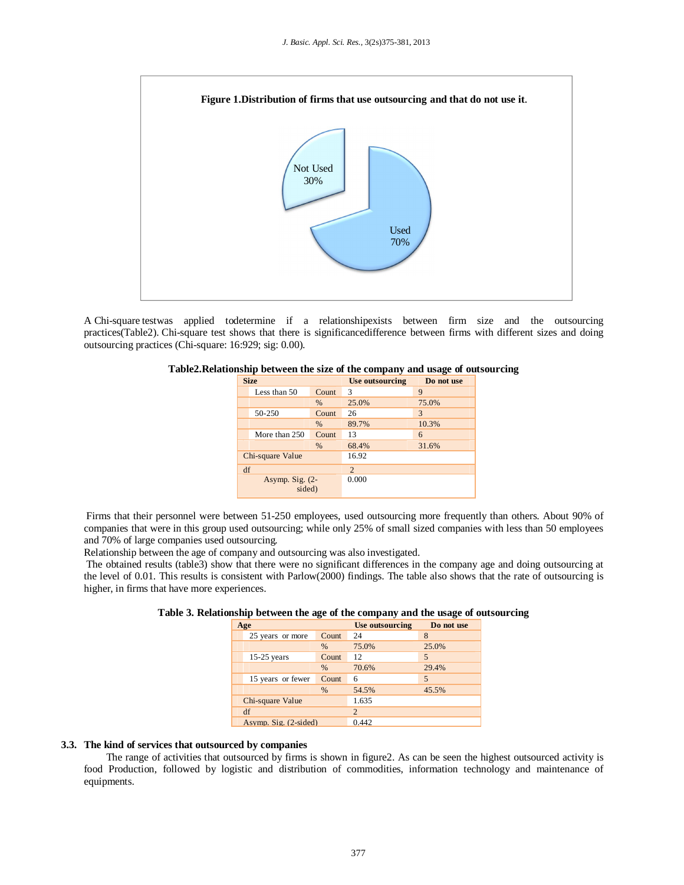

A Chi-square testwas applied todetermine if a relationshipexists between firm size and the outsourcing practices(Table2). Chi-square test shows that there is significancedifference between firms with different sizes and doing outsourcing practices (Chi-square: 16:929; sig: 0.00).

|                             | <b>Size</b>   |       | Use outsourcing | Do not use |
|-----------------------------|---------------|-------|-----------------|------------|
|                             | Less than 50  | Count | 3               | 9          |
|                             |               | $\%$  | 25.0%           | 75.0%      |
|                             | 50-250        | Count | 26              | 3          |
|                             |               | $\%$  | 89.7%           | 10.3%      |
|                             | More than 250 | Count | 13              | 6          |
|                             |               | %     | 68.4%           | 31.6%      |
| Chi-square Value            |               | 16.92 |                 |            |
| df                          |               |       | 2               |            |
| Asymp. Sig. $(2-$<br>sided) |               | 0.000 |                 |            |

#### **Table2.Relationship between the size of the company and usage of outsourcing**

Firms that their personnel were between 51-250 employees, used outsourcing more frequently than others. About 90% of companies that were in this group used outsourcing; while only 25% of small sized companies with less than 50 employees and 70% of large companies used outsourcing.

Relationship between the age of company and outsourcing was also investigated.

The obtained results (table3) show that there were no significant differences in the company age and doing outsourcing at the level of 0.01. This results is consistent with Parlow(2000) findings. The table also shows that the rate of outsourcing is higher, in firms that have more experiences.

| Age                   |                   |       | Use outsourcing | Do not use |
|-----------------------|-------------------|-------|-----------------|------------|
|                       | 25 years or more  | Count | 24              | 8          |
|                       |                   | $\%$  | 75.0%           | 25.0%      |
|                       | $15-25$ years     | Count | 12              | 5          |
|                       |                   | $\%$  | 70.6%           | 29.4%      |
|                       | 15 years or fewer | Count | 6               | 5          |
|                       |                   | %     | 54.5%           | 45.5%      |
| Chi-square Value      |                   |       | 1.635           |            |
| df                    |                   |       | 2               |            |
| Asymp. Sig. (2-sided) |                   |       | 0.442           |            |

**Table 3. Relationship between the age of the company and the usage of outsourcing**

# **3.3. The kind of services that outsourced by companies**

The range of activities that outsourced by firms is shown in figure2. As can be seen the highest outsourced activity is food Production, followed by logistic and distribution of commodities, information technology and maintenance of equipments.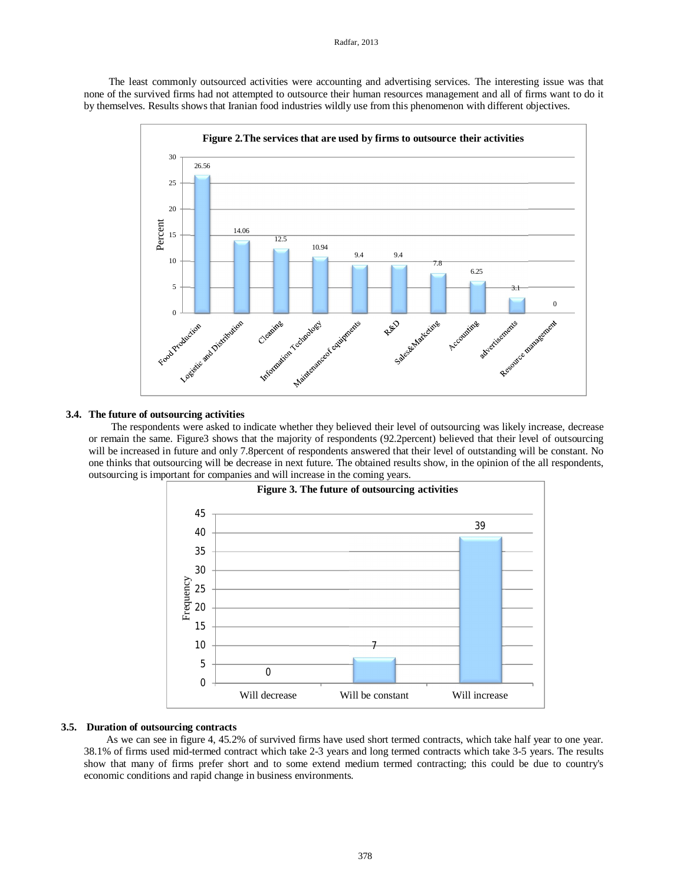The least commonly outsourced activities were accounting and advertising services. The interesting issue was that none of the survived firms had not attempted to outsource their human resources management and all of firms want to do it by themselves. Results shows that Iranian food industries wildly use from this phenomenon with different objectives.



#### **3.4. The future of outsourcing activities**

The respondents were asked to indicate whether they believed their level of outsourcing was likely increase, decrease or remain the same. Figure3 shows that the majority of respondents (92.2percent) believed that their level of outsourcing will be increased in future and only 7.8percent of respondents answered that their level of outstanding will be constant. No one thinks that outsourcing will be decrease in next future. The obtained results show, in the opinion of the all respondents, outsourcing is important for companies and will increase in the coming years.



#### **3.5. Duration of outsourcing contracts**

As we can see in figure 4, 45.2% of survived firms have used short termed contracts, which take half year to one year. 38.1% of firms used mid-termed contract which take 2-3 years and long termed contracts which take 3-5 years. The results show that many of firms prefer short and to some extend medium termed contracting; this could be due to country's economic conditions and rapid change in business environments.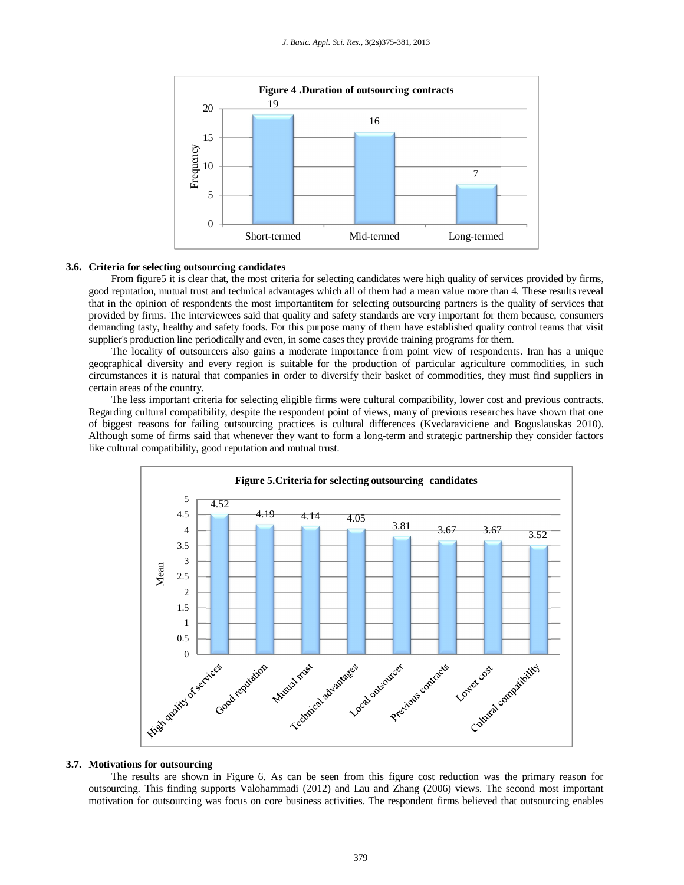

#### **3.6. Criteria for selecting outsourcing candidates**

From figure5 it is clear that, the most criteria for selecting candidates were high quality of services provided by firms, good reputation, mutual trust and technical advantages which all of them had a mean value more than 4. These results reveal that in the opinion of respondents the most importantitem for selecting outsourcing partners is the quality of services that provided by firms. The interviewees said that quality and safety standards are very important for them because, consumers demanding tasty, healthy and safety foods. For this purpose many of them have established quality control teams that visit supplier's production line periodically and even, in some cases they provide training programs for them.

The locality of outsourcers also gains a moderate importance from point view of respondents. Iran has a unique geographical diversity and every region is suitable for the production of particular agriculture commodities, in such circumstances it is natural that companies in order to diversify their basket of commodities, they must find suppliers in certain areas of the country.

The less important criteria for selecting eligible firms were cultural compatibility, lower cost and previous contracts. Regarding cultural compatibility, despite the respondent point of views, many of previous researches have shown that one of biggest reasons for failing outsourcing practices is cultural differences (Kvedaraviciene and Boguslauskas 2010). Although some of firms said that whenever they want to form a long-term and strategic partnership they consider factors like cultural compatibility, good reputation and mutual trust.



#### **3.7. Motivations for outsourcing**

The results are shown in Figure 6. As can be seen from this figure cost reduction was the primary reason for outsourcing. This finding supports Valohammadi (2012) and Lau and Zhang (2006) views. The second most important motivation for outsourcing was focus on core business activities. The respondent firms believed that outsourcing enables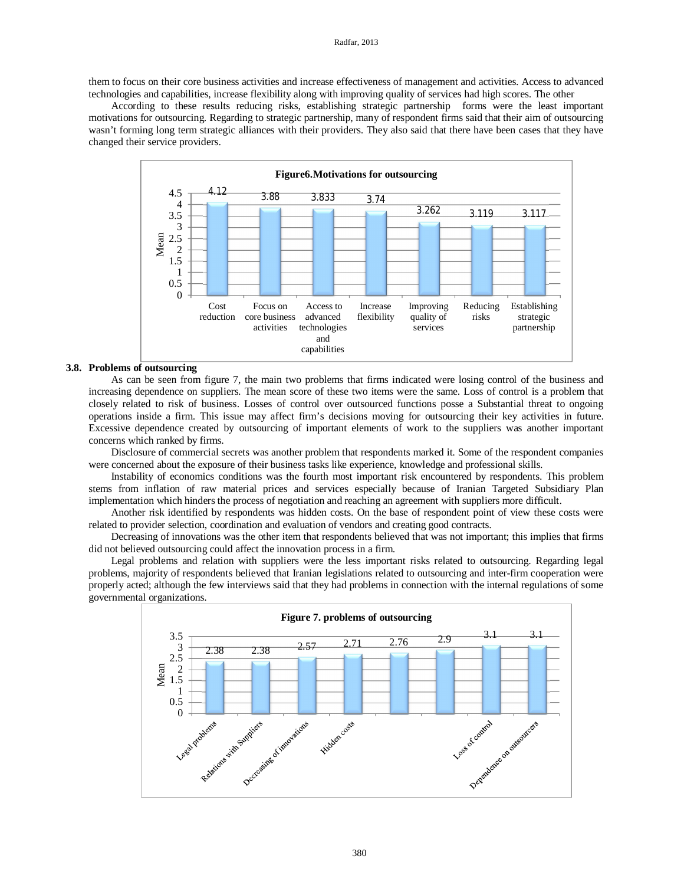them to focus on their core business activities and increase effectiveness of management and activities. Access to advanced technologies and capabilities, increase flexibility along with improving quality of services had high scores. The other

According to these results reducing risks, establishing strategic partnership forms were the least important motivations for outsourcing. Regarding to strategic partnership, many of respondent firms said that their aim of outsourcing wasn't forming long term strategic alliances with their providers. They also said that there have been cases that they have changed their service providers.



#### **3.8. Problems of outsourcing**

As can be seen from figure 7, the main two problems that firms indicated were losing control of the business and increasing dependence on suppliers. The mean score of these two items were the same. Loss of control is a problem that closely related to risk of business. Losses of control over outsourced functions posse a Substantial threat to ongoing operations inside a firm. This issue may affect firm's decisions moving for outsourcing their key activities in future. Excessive dependence created by outsourcing of important elements of work to the suppliers was another important concerns which ranked by firms.

Disclosure of commercial secrets was another problem that respondents marked it. Some of the respondent companies were concerned about the exposure of their business tasks like experience, knowledge and professional skills.

Instability of economics conditions was the fourth most important risk encountered by respondents. This problem stems from inflation of raw material prices and services especially because of Iranian Targeted Subsidiary Plan implementation which hinders the process of negotiation and reaching an agreement with suppliers more difficult.

Another risk identified by respondents was hidden costs. On the base of respondent point of view these costs were related to provider selection, coordination and evaluation of vendors and creating good contracts.

Decreasing of innovations was the other item that respondents believed that was not important; this implies that firms did not believed outsourcing could affect the innovation process in a firm.

Legal problems and relation with suppliers were the less important risks related to outsourcing. Regarding legal problems, majority of respondents believed that Iranian legislations related to outsourcing and inter-firm cooperation were properly acted; although the few interviews said that they had problems in connection with the internal regulations of some governmental organizations.